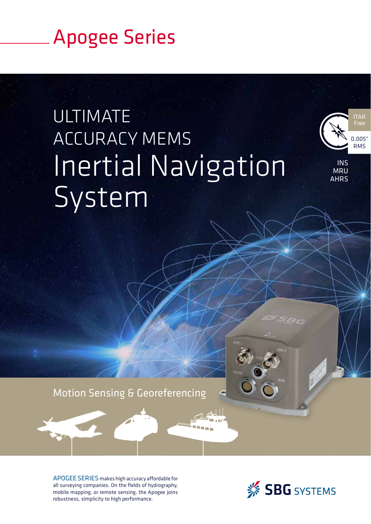## Apogee Series

# **ULTIMATE** ACCURACY MEMS Inertial Navigation System



INS **MRU AHRS** 

Motion Sensing & Georeferencing

APOGEE SERIES makes high accuracy afordable for all surveying companies. On the fields of hydrography, mobile mapping, or remote sensing, the Apogee joins robustness, simplicity to high performance.

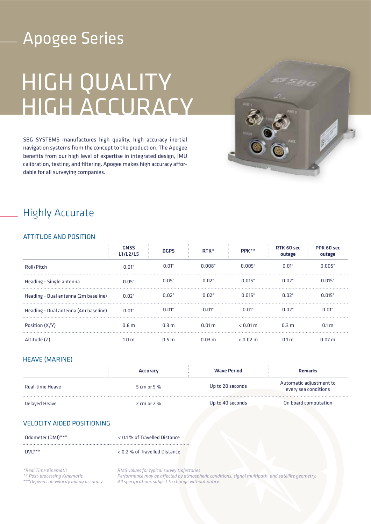## Apogee Series

# HIGH QUALITY HIGH ACCURACY

SBG SYSTEMS manufactures high quality, high accuracy inertial navigation systems from the concept to the production. The Apogee benefits from our high level of expertise in integrated design, IMU calibration, testing, and filtering. Apogee makes high accuracy afordable for all surveying companies.



### Highly Accurate

### ATTITUDE AND POSITION

|                                      | <b>GNSS</b><br>L1/L2/L5 | <b>DGPS</b>      | $RTK^*$       | PPK**         | RTK 60 sec<br>outage | PPK 60 sec<br>outage |
|--------------------------------------|-------------------------|------------------|---------------|---------------|----------------------|----------------------|
| Roll/Pitch                           | $0.01^{\circ}$          | $0.01^\circ$     | $0.008^\circ$ | $0.005^\circ$ | $0.01^{\circ}$       | $0.005^\circ$        |
| Heading - Single antenna             | $0.05^\circ$            | $0.05^\circ$     | $0.02^\circ$  | $0.015^\circ$ | $0.02^\circ$         | $0.015^{\circ}$      |
| Heading - Dual antenna (2m baseline) | $0.02^\circ$            | $0.02^\circ$     | $0.02^\circ$  | $0.015^\circ$ | $0.02^\circ$         | $0.015^{\circ}$      |
| Heading - Dual antenna (4m baseline) | $0.01^\circ$            | $0.01^\circ$     | $0.01^\circ$  | $0.01^\circ$  | $0.02^\circ$         | $0.01^\circ$         |
| Position (X/Y)                       | 0.6 <sub>m</sub>        | 0.3 <sub>m</sub> | 0.01 m        | $< 0.01$ m    | 0.3 <sub>m</sub>     | 0.1 <sub>m</sub>     |
| Altitude (Z)                         | 1.0 <sub>m</sub>        | 0.5 <sub>m</sub> | 0.03 m        | $< 0.02$ m    | 0.1 <sub>m</sub>     | 0.07 <sub>m</sub>    |

### HEAVE (MARINE)

|                 | <b>Accuracy</b> | <b>Wave Period</b> | <b>Remarks</b>                                  |
|-----------------|-----------------|--------------------|-------------------------------------------------|
| Real-time Heave | 5 cm or 5 $%$   | Up to 20 seconds   | Automatic adjustment to<br>every sea conditions |
| Delayed Heave   | 2 cm or $2\%$   | Up to 40 seconds   | On board computation                            |

### VELOCITY AIDED POSITIONING

Odometer (DMI)\*\*\* < 0.1 % of Travelled Distance

#### DVL\*\*\* < 0.2 % of Travelled Distance

*\*Real Time Kinematic*

*\*\* Post-processing Kinematic*

*\*\*\*Depends on velocity aiding accuracy*

*RMS values for typical survey trajectories Performance may be afected by atmospheric conditions, signal multipath, and satellite geometry. All specifications subject to change without notice.*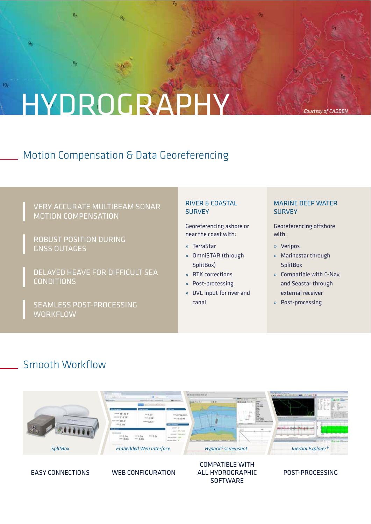# HYDROGRAPHY

## Motion Compensation & Data Georeferencing

### VERY ACCURATE MULTIBEAM SONAR MOTION COMPENSATION

ROBUST POSITION DURING GNSS OUTAGES

8

 $10<sub>7</sub>$ 

DELAYED HEAVE FOR DIFFICULT SEA CONDITIONS

SEAMLESS POST-PROCESSING **WORKFLOW** 

### RIVER & COASTAL **SURVEY**

Georeferencing ashore or near the coast with:

- » TerraStar
- » OmniSTAR (through SplitBox)
- » RTK corrections
- » Post-processing
- » DVL input for river and canal

**SOFTWARE** 

### MARINE DEEP WATER **SURVEY**

*Courtesy of CADDEN*

Georeferencing offshore with:

- » Veripos
- » Marinestar through **SplitBox**
- » Compatible with C-Nav, and Seastar through external receiver
- » Post-processing

### Smooth Workflow

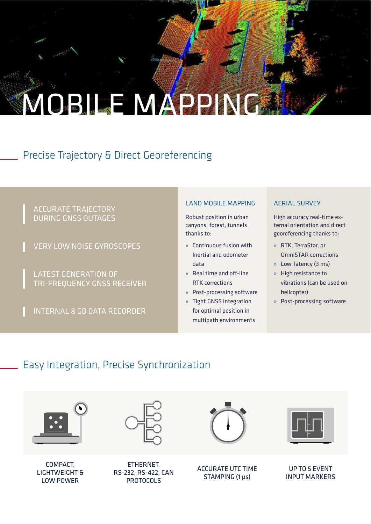# MOBILE MAPPING

## Precise Trajectory & Direct Georeferencing

### ACCURATE TRAJECTORY DURING GNSS OUTAGES

VERY LOW NOISE GYROSCOPES

LATEST GENERATION OF TRI-FREQUENCY GNSS RECEIVER

INTERNAL 8 GB DATA RECORDER

### LAND MOBILE MAPPING

Robust position in urban canyons, forest, tunnels thanks to:

- » Continuous fusion with Inertial and odometer data
- $»$  Real time and off-line RTK corrections
- » Post-processing software
- » Tight GNSS integration for optimal position in multipath environments

### AERIAL SURVEY

High accuracy real-time external orientation and direct georeferencing thanks to:

- » RTK, TerraStar, or OmniSTAR corrections
- » Low latency (3 ms)
- » High resistance to vibrations (can be used on helicopter)
- » Post-processing software

## Easy Integration, Precise Synchronization

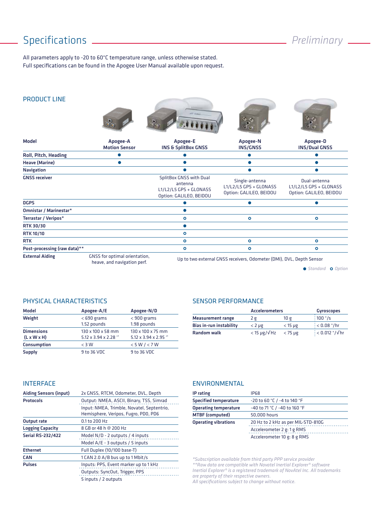## Specifications *Preliminary*

All parameters apply to -20 to 60°C temperature range, unless otherwise stated. Full specifications can be found in the Apogee User Manual available upon request.

### PRODUCT LINE











| <b>Model</b>                 | Apogee-A<br><b>Motion Sensor</b>                             | Apogee-E<br><b>INS &amp; SplitBox GNSS</b>                                              | Apogee-N<br><b>INS/GNSS</b>                                          | Apogee-D<br><b>INS/Dual GNSS</b>                                  |
|------------------------------|--------------------------------------------------------------|-----------------------------------------------------------------------------------------|----------------------------------------------------------------------|-------------------------------------------------------------------|
| Roll, Pitch, Heading         |                                                              |                                                                                         |                                                                      |                                                                   |
| <b>Heave (Marine)</b>        |                                                              |                                                                                         |                                                                      |                                                                   |
| <b>Navigation</b>            |                                                              |                                                                                         |                                                                      |                                                                   |
| <b>GNSS receiver</b>         |                                                              | SplitBox GNSS with Dual<br>antenna<br>L1/L2/L5 GPS + GLONASS<br>Option: GALILEO, BEIDOU | Single-antenna<br>L1/L2/L5 GPS + GLONASS<br>Option: GALILEO, BEIDOU  | Dual-antenna<br>L1/L2/L5 GPS + GLONASS<br>Option: GALILEO, BEIDOU |
| <b>DGPS</b>                  |                                                              |                                                                                         |                                                                      |                                                                   |
| Omnistar / Marinestar*       |                                                              |                                                                                         |                                                                      |                                                                   |
| Terrastar / Veripos*         |                                                              | $\circ$                                                                                 | $\circ$                                                              | $\circ$                                                           |
| <b>RTK 30/30</b>             |                                                              |                                                                                         |                                                                      |                                                                   |
| <b>RTK 10/10</b>             |                                                              | $\circ$                                                                                 |                                                                      |                                                                   |
| <b>RTK</b>                   |                                                              | $\circ$                                                                                 | ۰                                                                    | $\circ$                                                           |
| Post-processing (raw data)** |                                                              | ۰                                                                                       | ۰                                                                    | $\circ$                                                           |
| <b>External Aiding</b>       | GNSS for optimal orientation,<br>heave, and navigation perf. |                                                                                         | Up to two external GNSS receivers, Odometer (DMI), DVL, Depth Sensor |                                                                   |

**• Standard • Option** 

### PHYSICAL CHARACTERISTICS

| <b>Model</b>                                 | Apogee-A/E                                | Apogee-N/D                                |
|----------------------------------------------|-------------------------------------------|-------------------------------------------|
| Weight                                       | $<$ 690 grams<br>1.52 pounds              | $<$ 900 grams<br>1.98 pounds              |
| <b>Dimensions</b><br>$(L \times W \times H)$ | 130 x 100 x 58 mm<br>5.12 x 3.94 x 2.28 " | 130 x 100 x 75 mm<br>5.12 x 3.94 x 2.95 " |
| Consumption                                  | $<$ 3 W                                   | < 5 W / < 7 W                             |
| Supply                                       | 9 to 36 VDC                               | 9 to 36 VDC                               |

### SENSOR PERFORMANCE

|                          | <b>Accelerometers</b>  | <b>Gyroscopes</b> |                                      |
|--------------------------|------------------------|-------------------|--------------------------------------|
| <b>Measurement range</b> | 2g                     | 10 g              | $\frac{1}{2}100$ °/s                 |
| Bias in-run instability  | $<$ 2 $\mu$ g          | $<$ 15 µg         | $: 0.08$ $*$ /hr                     |
| <b>Random walk</b>       | $<$ 15 µg/ $\sqrt{Hz}$ | $<$ 75 $\mu$ g    | $: < 0.012$ $\degree$ / $\sqrt{h}$ r |

### INTERFACE

| <b>Aiding Sensors (input)</b> | 2x GNSS, RTCM, Odometer, DVL, Depth                                                                                            |
|-------------------------------|--------------------------------------------------------------------------------------------------------------------------------|
| <b>Protocols</b>              | Output: NMEA, ASCII, Binary, TSS, Simrad<br>Input: NMEA, Trimble, Novatel, Septentrio,<br>Hemisphere, Veripos, Fugro, PDO, PD6 |
| Output rate                   | 0.1 to 200 Hz                                                                                                                  |
| <b>Logging Capacity</b>       | 8 GB or 48 h @ 200 Hz                                                                                                          |
| <b>Serial RS-232/422</b>      | Model N/D - 2 outputs / 4 inputs                                                                                               |
|                               | Model A/E - 3 outputs / 5 inputs                                                                                               |
| <b>Ethernet</b>               | Full Duplex (10/100 base-T)                                                                                                    |
| <b>CAN</b>                    | 1 CAN 2.0 A/B bus up to 1 Mbit/s                                                                                               |
| <b>Pulses</b>                 | Inputs: PPS, Event marker up to 1 kHz<br>Outputs: SyncOut, Trigger, PPS<br>5 inputs / 2 outputs                                |

#### ENVIRONMENTAL

| IP rating                    | <b>IP68</b>                        |
|------------------------------|------------------------------------|
| <b>Specified temperature</b> | -20 to 60 °C / -4 to 140 °F        |
| <b>Operating temperature</b> | -40 to 71 °C / -40 to 160 °F       |
| <b>MTBF</b> (computed)       | 50.000 hours                       |
| <b>Operating vibrations</b>  | 20 Hz to 2 kHz as per MIL-STD-810G |
|                              | Accelerometer 2 g: 1 g RMS         |
|                              | Accelerometer 10 g: 8 g RMS        |

*\*Subscription available from third party PPP service provider \*\*Raw data are compatible with Novatel Inertial Explorer® software Inertial Explorer® is a registered trademark of NovAtel Inc. All trademarks are property of their respective owners.*

*All specifications subject to change without notice.*